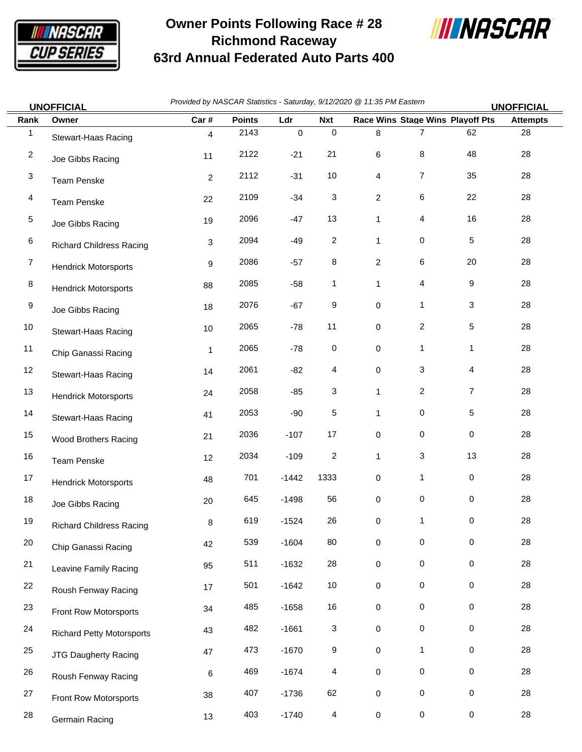

## **Owner Points Following Race # 28 Richmond Raceway 63rd Annual Federated Auto Parts 400**



|                         | <b>UNOFFICIAL</b>                | Provided by NASCAR Statistics - Saturday, 9/12/2020 @ 11:35 PM Eastern |               |             |                         |                         |                                         | <b>UNOFFICIAL</b> |                 |
|-------------------------|----------------------------------|------------------------------------------------------------------------|---------------|-------------|-------------------------|-------------------------|-----------------------------------------|-------------------|-----------------|
| Rank                    | Owner                            | Car#                                                                   | <b>Points</b> | Ldr         | <b>Nxt</b>              |                         | <b>Race Wins Stage Wins Playoff Pts</b> |                   | <b>Attempts</b> |
| 1                       | Stewart-Haas Racing              | $\overline{4}$                                                         | 2143          | $\mathsf 0$ | $\,0\,$                 | 8                       | $\overline{7}$                          | 62                | 28              |
| $\overline{\mathbf{c}}$ | Joe Gibbs Racing                 | 11                                                                     | 2122          | $-21$       | 21                      | 6                       | 8                                       | 48                | 28              |
| 3                       | <b>Team Penske</b>               | $\overline{2}$                                                         | 2112          | $-31$       | 10                      | 4                       | $\overline{7}$                          | 35                | 28              |
| 4                       | <b>Team Penske</b>               | 22                                                                     | 2109          | $-34$       | 3                       | 2                       | 6                                       | 22                | 28              |
| 5                       | Joe Gibbs Racing                 | 19                                                                     | 2096          | $-47$       | 13                      | 1                       | 4                                       | 16                | 28              |
| 6                       | <b>Richard Childress Racing</b>  | 3                                                                      | 2094          | $-49$       | $\overline{\mathbf{c}}$ | 1                       | 0                                       | 5                 | 28              |
| 7                       | <b>Hendrick Motorsports</b>      | 9                                                                      | 2086          | $-57$       | 8                       | $\overline{\mathbf{c}}$ | 6                                       | 20                | 28              |
| 8                       | <b>Hendrick Motorsports</b>      | 88                                                                     | 2085          | -58         | 1                       | 1                       | 4                                       | 9                 | 28              |
| 9                       | Joe Gibbs Racing                 | 18                                                                     | 2076          | $-67$       | 9                       | 0                       | $\mathbf{1}$                            | 3                 | 28              |
| 10                      | Stewart-Haas Racing              | 10                                                                     | 2065          | $-78$       | 11                      | 0                       | $\overline{c}$                          | 5                 | 28              |
| 11                      | Chip Ganassi Racing              | 1                                                                      | 2065          | $-78$       | $\,0\,$                 | 0                       | $\mathbf{1}$                            | 1                 | 28              |
| 12                      | Stewart-Haas Racing              | 14                                                                     | 2061          | $-82$       | 4                       | 0                       | 3                                       | 4                 | 28              |
| 13                      | <b>Hendrick Motorsports</b>      | 24                                                                     | 2058          | $-85$       | 3                       | 1                       | 2                                       | 7                 | 28              |
| 14                      | Stewart-Haas Racing              | 41                                                                     | 2053          | $-90$       | 5                       | 1                       | 0                                       | 5                 | 28              |
| 15                      | Wood Brothers Racing             | 21                                                                     | 2036          | $-107$      | 17                      | 0                       | 0                                       | 0                 | 28              |
| 16                      | <b>Team Penske</b>               | 12                                                                     | 2034          | $-109$      | $\overline{\mathbf{c}}$ | 1                       | 3                                       | 13                | 28              |
| 17                      | <b>Hendrick Motorsports</b>      | 48                                                                     | 701           | $-1442$     | 1333                    | 0                       | 1                                       | 0                 | 28              |
| 18                      | Joe Gibbs Racing                 | 20                                                                     | 645           | $-1498$     | 56                      | 0                       | 0                                       | 0                 | 28              |
| 19                      | <b>Richard Childress Racing</b>  | 8                                                                      | 619           | $-1524$     | 26                      | 0                       |                                         | 0                 | 28              |
| 20                      | Chip Ganassi Racing              | 42                                                                     | 539           | $-1604$     | 80                      | 0                       | 0                                       | $\pmb{0}$         | 28              |
| 21                      | Leavine Family Racing            | 95                                                                     | 511           | $-1632$     | 28                      | 0                       | $\mathsf{O}$                            | 0                 | 28              |
| 22                      | Roush Fenway Racing              | 17                                                                     | 501           | $-1642$     | $10$                    | 0                       | $\mathsf{O}$                            | 0                 | 28              |
| 23                      | Front Row Motorsports            | 34                                                                     | 485           | $-1658$     | 16                      | 0                       | 0                                       | 0                 | 28              |
| 24                      | <b>Richard Petty Motorsports</b> | 43                                                                     | 482           | $-1661$     | 3                       | 0                       | $\mathsf{O}\xspace$                     | $\pmb{0}$         | 28              |
| 25                      | <b>JTG Daugherty Racing</b>      | 47                                                                     | 473           | $-1670$     | 9                       | 0                       | $\mathbf{1}$                            | $\pmb{0}$         | 28              |
| 26                      | Roush Fenway Racing              | 6                                                                      | 469           | $-1674$     | 4                       | 0                       | 0                                       | $\mathbf 0$       | 28              |
| 27                      | Front Row Motorsports            | 38                                                                     | 407           | $-1736$     | 62                      | 0                       | 0                                       | $\pmb{0}$         | 28              |

28 Germain Racing 13 403 -1740 4 0 0 0 0 28